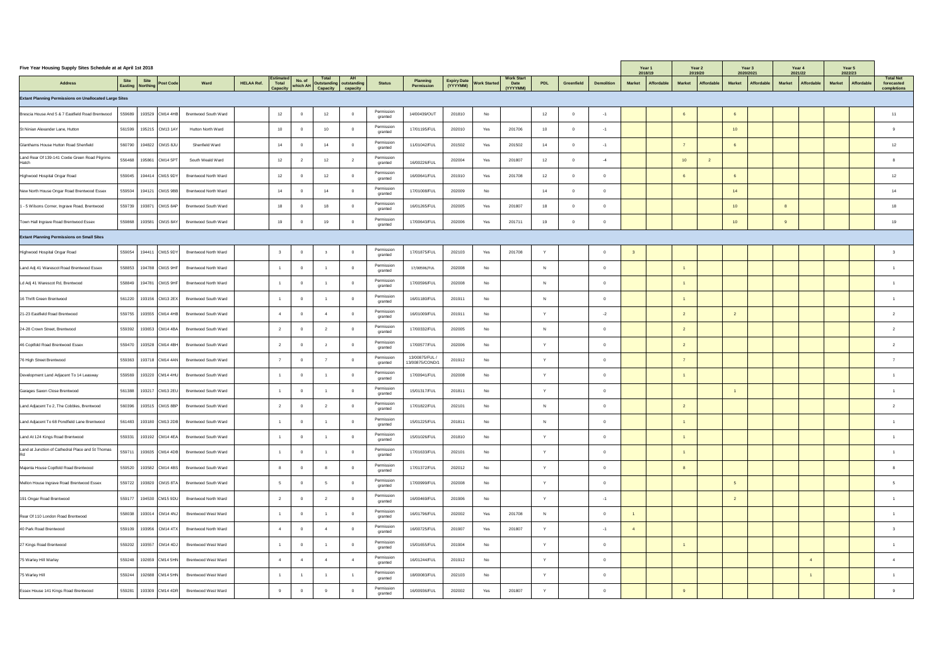| Five Year Housing Supply Sites Schedule at at April 1st 2018  |                                                                |                             |                   |                    |                    |                                                 |                       |                                      |        |                          |                                  |           |                   |                   | Year 1<br>2018/19 |                   |               | Year 2<br>2019/20 | Year 3<br>2020/2021         | Year 4<br>2021/22 |            | Year 5<br>2022/23                  |                                |
|---------------------------------------------------------------|----------------------------------------------------------------|-----------------------------|-------------------|--------------------|--------------------|-------------------------------------------------|-----------------------|--------------------------------------|--------|--------------------------|----------------------------------|-----------|-------------------|-------------------|-------------------|-------------------|---------------|-------------------|-----------------------------|-------------------|------------|------------------------------------|--------------------------------|
| <b>Address</b>                                                | Site Site  <br>Easting Northing<br>$\sqrt{\mathsf{Post Code}}$ | Ward                        | <b>HELAA Ref.</b> | Estimated<br>Total | No. of<br>which Al | Total<br><b>AH</b><br>Outstanding   outstanding | <b>Status</b>         | <b>Planning</b><br><b>Permission</b> |        | Expiry Date Work Started | <b>Work Start</b><br><b>Date</b> | PDL       | <b>Greenfield</b> | <b>Demolition</b> | <b>Market</b>     | <b>Affordable</b> | <b>Market</b> | Affordable        | Affordable<br><b>Market</b> | <b>Market</b>     | Affordable | <b>Affordable</b><br><b>Market</b> | <b>Total Net</b><br>forecasted |
| <b>Extant Planning Permissions on Unallocated Large Sites</b> |                                                                |                             |                   | <b>Capacity</b>    |                    | <b>Capacity</b><br>capacity                     |                       |                                      |        |                          | (YYYYMM)                         |           |                   |                   |                   |                   |               |                   |                             |                   |            |                                    | completions                    |
| Brescia House And 5 & 7 Eastfield Road Brentwood              | 559689<br>193529 CM14 4HB                                      | <b>Brentwood South Ward</b> |                   | 12                 |                    | 12 <sup>7</sup><br>$\overline{0}$               | Permission<br>granted | 14/00439/OUT                         | 201810 | No                       |                                  | 12        |                   |                   |                   |                   |               |                   |                             |                   |            |                                    |                                |
| St Ninian Alexander Lane, Hutton                              | 561599   195215   CM13 1AY                                     | <b>Hutton North Ward</b>    |                   | 10                 |                    | 10<br>$\overline{0}$                            | Permission<br>granted | 17/01195/FUL                         | 202010 | Yes                      | 201706                           | 10        |                   |                   |                   |                   |               |                   | 10                          |                   |            |                                    |                                |
| Glanthams House Hutton Road Shenfield                         | 560790<br>194822   CM15 8JU                                    | Shenfield Ward              |                   |                    |                    |                                                 | Permission<br>granted | 11/01042/FUL                         | 201502 | Yes                      | 201502                           | 14        |                   |                   |                   |                   |               |                   |                             |                   |            |                                    | 12                             |
| Land Rear Of 139-141 Coxtie Green Road Pilgrims<br>Hatch      | 556468<br>195861 CM14 5PT                                      | South Weald Ward            |                   | 12                 |                    | 12                                              | Permission<br>granted | 16/00226/FUL                         | 202004 | Yes                      | 201807                           | 12        |                   |                   |                   |                   | 10            |                   |                             |                   |            |                                    |                                |
| Highwood Hospital Ongar Road                                  | 559045   194414 CM15 9DY                                       | <b>Brentwood North Ward</b> |                   | 12                 |                    | 12 <sup>7</sup><br>$\overline{0}$               | Permission<br>granted | 16/00641/FUL                         | 201910 | Yes                      | 201708                           | 12        |                   |                   |                   |                   |               |                   |                             |                   |            |                                    | 12                             |
| New North House Ongar Road Brentwood Essex                    | 559504   194121   CM15 9BB                                     | <b>Brentwood North Ward</b> |                   | 14                 |                    | 11                                              | Permission<br>granted | 17/01008/FUL                         | 202009 | No                       |                                  | 14        |                   |                   |                   |                   |               |                   | 14                          |                   |            |                                    | 14                             |
| 1 - 5 Wilsons Corner, Ingrave Road, Brentwood                 | 559739   193871  CM15 8AP                                      | <b>Brentwood South Ward</b> |                   | 18                 |                    |                                                 | Permission<br>granted | 16/01265/FUL                         | 202005 | Yes                      | 201807                           | 18        |                   |                   |                   |                   |               |                   | 10 <sup>1</sup>             |                   |            |                                    | 18                             |
| Town Hall Ingrave Road Brentwood Essex                        | 559868   193581 CM15 8AY                                       | <b>Brentwood South Ward</b> |                   | 19                 |                    | 19<br>$\overline{0}$                            | Permission<br>granted | 17/00643/FUL                         | 202006 | Yes                      | 201711                           | 19        |                   |                   |                   |                   |               |                   | 10 <sup>1</sup>             |                   |            |                                    | 19                             |
| <b>Extant Planning Permissions on Small Sites</b>             |                                                                |                             |                   |                    |                    |                                                 |                       |                                      |        |                          |                                  |           |                   |                   |                   |                   |               |                   |                             |                   |            |                                    |                                |
| Highwood Hospital Ongar Road                                  | 559054   194411 CM15 9DY                                       | <b>Brentwood North Ward</b> |                   |                    |                    | $\Omega$                                        | Permission<br>granted | 17/01875/FUL                         | 202103 | Yes                      | 201708                           |           |                   |                   |                   |                   |               |                   |                             |                   |            |                                    |                                |
| Land Adj 41 Warescot Road Brentwood Essex                     | 558853   194788 CM15 9HF                                       | <b>Brentwood North Ward</b> |                   |                    |                    |                                                 | Permission<br>granted | 17/00596/FUL                         | 202008 | No                       |                                  |           |                   |                   |                   |                   |               |                   |                             |                   |            |                                    |                                |
| Ld Adj 41 Warescot Rd, Brentwood                              | 558849   194781   CM15 9HF                                     | <b>Brentwood North Ward</b> |                   |                    |                    |                                                 | Permission<br>granted | 17/00596/FUL                         | 202008 | No                       |                                  |           |                   |                   |                   |                   |               |                   |                             |                   |            |                                    |                                |
| 16 Thrift Green Brentwood                                     | 561220   193156   CM13 2EX                                     | <b>Brentwood South Ward</b> |                   |                    |                    |                                                 | Permission<br>granted | 16/01180/FUL                         | 201911 | No                       |                                  |           |                   |                   |                   |                   |               |                   |                             |                   |            |                                    |                                |
| 21-23 Eastfield Road Brentwood                                | 559755   193555 CM14 4HB                                       | <b>Brentwood South Ward</b> |                   |                    |                    |                                                 | Permission<br>granted | 16/01009/FUL                         | 201911 | No                       |                                  |           |                   |                   |                   |                   |               |                   |                             |                   |            |                                    |                                |
| 24-28 Crown Street, Brentwood                                 | 559392   193653  CM14 4BA                                      | <b>Brentwood South Ward</b> |                   |                    |                    |                                                 | Permission<br>granted | 17/00332/FUL                         | 202005 | No                       |                                  |           |                   |                   |                   |                   |               |                   |                             |                   |            |                                    |                                |
| 46 Coptfold Road Brentwood Essex                              | 559470   193528 CM14 4BH                                       | <b>Brentwood South Ward</b> |                   |                    |                    |                                                 | Permission<br>granted | 17/00577/FUL                         | 202006 | No                       |                                  |           |                   |                   |                   |                   |               |                   |                             |                   |            |                                    |                                |
| 76 High Street Brentwood                                      | 559363   193718   CM14 4AN   Brentwood South Ward              |                             |                   |                    | <b>∪</b>           |                                                 | Permission<br>granted | 13/00875/FUL /<br>13/00875/COND/1    | 201912 | No                       |                                  | $\lambda$ |                   | $\sqrt{ }$        |                   |                   |               |                   |                             |                   |            |                                    | $\overline{7}$                 |
| Development Land Adjacent To 14 Leasway                       | 559569   193220 CM14 4HU Brentwood South Ward                  |                             |                   |                    |                    |                                                 | Permission<br>granted | 17/00941/FUL                         | 202008 | No                       |                                  |           |                   |                   |                   |                   |               |                   |                             |                   |            |                                    |                                |
| Garages Saxon Close Brentwood                                 | 561388   193217  CM13 2EU                                      | <b>Brentwood South Ward</b> |                   |                    |                    |                                                 | Permission<br>granted | 15/01317/FUL                         | 201811 | No                       |                                  |           |                   |                   |                   |                   |               |                   |                             |                   |            |                                    |                                |
| Land Adjacent To 2, The Cobbles, Brentwood                    | 560396   193515   CM15 8BP                                     | <b>Brentwood South Ward</b> |                   |                    |                    | $\Omega$                                        | Permission<br>granted | 17/01822/FUL                         | 202101 | No                       |                                  |           |                   |                   |                   |                   |               |                   |                             |                   |            |                                    |                                |
| Land Adjacent To 68 Pondfield Lane Brentwood                  | 561483   193180   CM13 2DB                                     | <b>Brentwood South Ward</b> |                   |                    |                    |                                                 | Permission<br>granted | 15/01225/FUL                         | 201811 | No                       |                                  |           |                   |                   |                   |                   |               |                   |                             |                   |            |                                    |                                |
| Land At 124 Kings Road Brentwood                              | 559331   193192 CM14 4EA   Brentwood South Ward                |                             |                   |                    |                    |                                                 | Permission<br>granted | 15/01026/FUL                         | 201810 | No                       |                                  |           |                   |                   |                   |                   |               |                   |                             |                   |            |                                    |                                |
| Land at Junction of Cathedral Place and St Thomas             | 559711   193635 CM14 4DB   Brentwood South Ward                |                             |                   |                    |                    |                                                 | Permission<br>granted | 17/01633/FUL                         | 202101 | No                       |                                  |           |                   |                   |                   |                   |               |                   |                             |                   |            |                                    |                                |
| Majenta House Coptfold Road Brentwood                         | 559520   193582 CM14 4BS   Brentwood South Ward                |                             |                   |                    |                    |                                                 | Permission<br>granted | 17/01372/FUL                         | 202012 | No                       |                                  |           |                   |                   |                   |                   |               |                   |                             |                   |            |                                    |                                |
| Mellon House Ingrave Road Brentwood Essex                     | 559722   193820   CM15 8TA   Brentwood South Ward              |                             |                   |                    |                    |                                                 | Permission<br>granted | 17/00999/FUL                         | 202008 | No                       |                                  |           |                   |                   |                   |                   |               |                   |                             |                   |            |                                    |                                |
| 191 Ongar Road Brentwood                                      | 559177   194530   CM15 9DU   Brentwood North Ward              |                             |                   |                    |                    |                                                 | Permission<br>granted | 16/00469/FUL                         | 201906 | No                       |                                  |           |                   |                   |                   |                   |               |                   |                             |                   |            |                                    |                                |
| Rear Of 110 London Road Brentwood                             | 558038   193014   CM14 4NJ   Brentwood West Ward               |                             |                   |                    |                    |                                                 | Permission<br>granted | 16/01796/FUL                         | 202002 | Yes                      | 201708                           |           |                   |                   |                   |                   |               |                   |                             |                   |            |                                    |                                |
| 40 Park Road Brentwood                                        | 559109   193956   CM14 4TX                                     | <b>Brentwood North Ward</b> |                   |                    |                    | - റ                                             | Permission<br>granted | 16/00725/FUL                         | 201907 | Yes                      | 201807                           |           |                   |                   |                   |                   |               |                   |                             |                   |            |                                    |                                |
| 27 Kings Road Brentwood                                       | 559202   193557   CM14 4DJ                                     | <b>Brentwood West Ward</b>  |                   |                    |                    | $\Omega$                                        | Permission<br>granted | 15/01655/FUL                         | 201904 | No                       |                                  |           |                   |                   |                   |                   |               |                   |                             |                   |            |                                    |                                |
| 75 Warley Hill Warley                                         | 559248   192659 CM14 5HN                                       | <b>Brentwood West Ward</b>  |                   |                    |                    |                                                 | Permission<br>granted | 16/01244/FUL                         | 201912 | No                       |                                  | $\lambda$ |                   |                   |                   |                   |               |                   |                             |                   |            |                                    |                                |
| 75 Warley Hill                                                | 559244   192688 CM14 5HN                                       | <b>Brentwood West Ward</b>  |                   |                    |                    |                                                 | Permission<br>granted | 18/00083/FUL                         | 202103 | No                       |                                  |           |                   |                   |                   |                   |               |                   |                             |                   |            |                                    |                                |
| <b>Essex House 141 Kings Road Brentwood</b>                   | 559281   193309 CM14 4DR                                       | <b>Brentwood West Ward</b>  |                   |                    |                    | - റ                                             | Permission<br>granted | 16/00936/FUL                         | 202002 | Yes                      | 201807                           |           |                   |                   |                   |                   |               |                   |                             |                   |            |                                    |                                |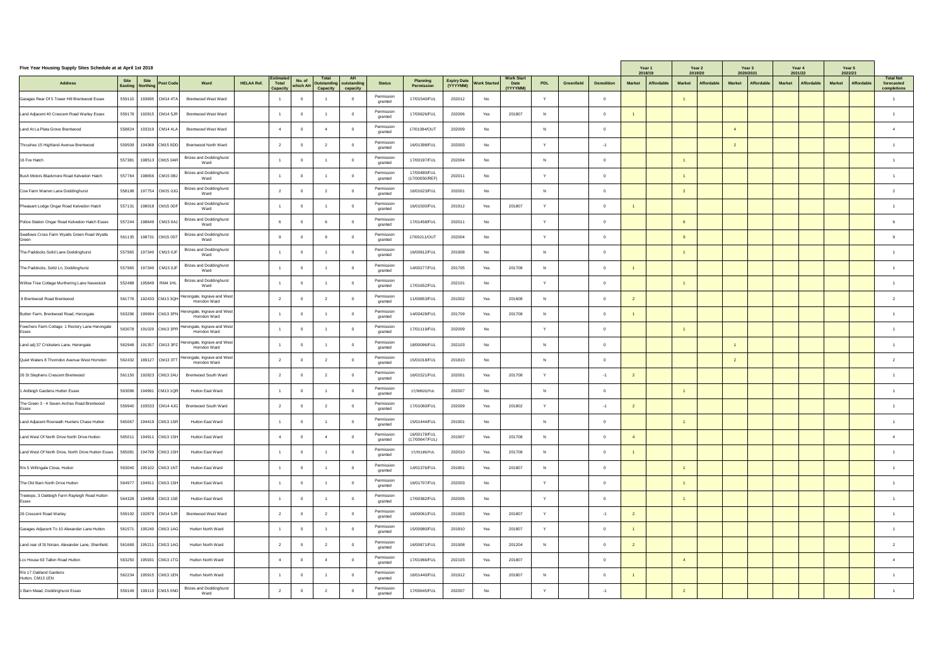| Five Year Housing Supply Sites Schedule at at April 1st 2018   |        |                                                   |                                                                                          |                   |                                              |                       |                                                               |                       |                                      |        |                          |                                              |                | Year 1<br>2018/19 |                   | Year 2<br>2019/20           | 2020/2021     | Year 3     | Year 4<br>2021/22 |                   | Year 5<br>2022/23           |               |            |                                |
|----------------------------------------------------------------|--------|---------------------------------------------------|------------------------------------------------------------------------------------------|-------------------|----------------------------------------------|-----------------------|---------------------------------------------------------------|-----------------------|--------------------------------------|--------|--------------------------|----------------------------------------------|----------------|-------------------|-------------------|-----------------------------|---------------|------------|-------------------|-------------------|-----------------------------|---------------|------------|--------------------------------|
| <b>Address</b>                                                 |        | Site Site<br>Easting Northing<br><b>Post Code</b> | Ward                                                                                     | <b>HELAA Ref.</b> | <b>Estimated</b><br>Total<br><b>Capacity</b> | No. of<br>  which Al- | <b>Total</b><br><b>AH</b><br><b>Outstanding   outstanding</b> | <b>Status</b>         | <b>Planning</b><br><b>Permission</b> |        | Expiry Date Work Started | <b>Work Start</b><br><b>Date</b><br>(YYYYMM) | <b>PDL</b>     | <b>Greenfield</b> | <b>Demolition</b> | <b>Market</b><br>Affordable | <b>Market</b> | Affordable | <b>Market</b>     | <b>Affordable</b> | <b>Market</b><br>Affordable | <b>Market</b> | Affordable | <b>Total Net</b><br>forecasted |
| Garages Rear Of 5 Tower Hill Brentwood Essex                   |        | 559110   193695   CM14 4TA                        | <b>Brentwood West Ward</b>                                                               |                   |                                              |                       | <b>Capacity</b><br>capacity                                   | Permission<br>granted | 17/01540/FUL                         | 202012 | No                       |                                              |                |                   |                   |                             |               |            |                   |                   |                             |               |            | completions                    |
| Land Adjacent 40 Crescent Road Warley Essex                    |        | 559178   192815   CM14 5JR                        | <b>Brentwood West Ward</b>                                                               |                   |                                              |                       |                                                               | Permission<br>granted | 17/00626/FUL                         | 202006 | Yes                      | 201807                                       | N              |                   |                   |                             |               |            |                   |                   |                             |               |            |                                |
| Land At La Plata Grove Brentwood                               |        | 558824   193319   CM14 4LA                        | <b>Brentwood West Ward</b>                                                               |                   |                                              |                       |                                                               | Permission<br>granted | 17/01084/OUT                         | 202009 | No                       |                                              | N              |                   |                   |                             |               |            |                   |                   |                             |               |            |                                |
| Thrushes 15 Highland Avenue Brentwood                          | 559509 | 194368 CM15 9DD                                   | <b>Brentwood North Ward</b>                                                              |                   |                                              |                       | _ റ                                                           | Permission<br>granted | 16/01398/FUL                         | 202003 | No                       |                                              |                |                   |                   |                             |               |            |                   |                   |                             |               |            |                                |
| 16 Fox Hatch                                                   | 557381 | $'$ 198513 $ CM15$ 0AR                            | <b>Brizes and Doddinghurst</b><br>Ward                                                   |                   |                                              |                       |                                                               | Permission<br>granted | 17/00197/FUL                         | 202004 | No                       |                                              | N              |                   |                   |                             |               |            |                   |                   |                             |               |            |                                |
| Bush Motors Blackmore Road Kelvedon Hatch                      |        | 557764   198656   CM15 0BJ                        | <b>Brizes and Doddinghurst</b><br>Ward                                                   |                   |                                              |                       |                                                               | Permission<br>granted | 17/00480/FUL<br>(17/00050/REF)       | 202011 | No                       |                                              | $\overline{V}$ |                   |                   |                             |               |            |                   |                   |                             |               |            |                                |
| Cow Farm Warren Lane Doddinghurst                              |        | 558198   197754 CM15 0JG                          | <b>Brizes and Doddinghurst</b><br>Ward                                                   |                   |                                              |                       |                                                               | Permission<br>granted | 16/01623/FUL                         | 202001 | No                       |                                              | N              |                   |                   |                             |               |            |                   |                   |                             |               |            |                                |
| Pheasant Lodge Ongar Road Kelvedon Hatch                       |        | 557131   198018   CM15 0DF                        | <b>Brizes and Doddinghurst</b><br>Ward                                                   |                   |                                              |                       |                                                               | Permission<br>granted | 16/01500/FUL                         | 201912 | Yes                      | 201807                                       | $\lambda$      |                   |                   |                             |               |            |                   |                   |                             |               |            |                                |
| Police Station Ongar Road Kelvedon Hatch Essex                 |        | 557244   198649   CM15 0AJ                        | <b>Brizes and Doddinghurst</b><br>Ward                                                   |                   |                                              |                       | റ                                                             | Permission<br>granted | 17/01458/FUL                         | 202011 | No                       |                                              |                |                   |                   |                             |               |            |                   |                   |                             |               |            |                                |
| Swallows Cross Farm Wyatts Green Road Wyatts<br>Green          |        | 561135 398731 CM15 0ST                            | <b>Brizes and Doddinghurst</b><br>Ward                                                   |                   |                                              |                       |                                                               | Permission<br>granted | 17/00211/OUT                         | 202004 | No                       |                                              |                |                   |                   |                             |               |            |                   |                   |                             |               |            |                                |
| The Paddocks Solid Lane Doddinghurst                           |        | 557965   197340   CM15 0JF                        | <b>Brizes and Doddinghurst</b><br>Ward                                                   |                   |                                              |                       |                                                               | Permission<br>granted | 16/00812/FUL                         | 201908 | No                       |                                              | $\mathsf{N}$   |                   |                   |                             |               |            |                   |                   |                             |               |            |                                |
| The Paddocks, Solid Ln, Doddinghurst                           |        | 557965   197340 CM15 0JF                          | <b>Brizes and Doddinghurst</b><br>Ward                                                   |                   |                                              |                       |                                                               | Permission<br>granted | 14/00277/FUL                         | 201705 | Yes                      | 201708                                       | N              |                   |                   |                             |               |            |                   |                   |                             |               |            |                                |
| Willow Tree Cottage Murthering Lane Navestock                  |        | 552488   195849   RM4 1HL                         | <b>Brizes and Doddinghurst</b><br>Ward                                                   |                   |                                              |                       |                                                               | Permission<br>granted | 17/01652/FUL                         | 202101 | No                       |                                              |                |                   |                   |                             |               |            |                   |                   |                             |               |            |                                |
| 8 Brentwood Road Brentwood                                     |        |                                                   | 561776   192433 $ CM13$ 3QH $ $ <sup>Herongate, Ingrave and West  </sup><br>Horndon Ward |                   |                                              |                       |                                                               | Permission<br>granted | 11/00853/FUL                         | 201502 | Yes                      | 201608                                       | N              |                   |                   |                             |               |            |                   |                   |                             |               |            |                                |
| Button Farm, Brentwood Road, Herongate                         |        |                                                   | 563296   190694 CM13 3PN Herongate, Ingrave and West  <br>Horndon Ward                   |                   |                                              |                       |                                                               | Permission<br>granted | 14/00428/FUL                         | 201709 | Yes                      | 201708                                       | N              |                   |                   |                             |               |            |                   |                   |                             |               |            |                                |
| Fowchers Farm Cottage 1 Rectory Lane Herongate<br>Essex        |        |                                                   | 1 563078   191020 CM13 3PR Herongate, Ingrave and West<br>Horndon Ward                   |                   |                                              |                       |                                                               | Permission<br>granted | 17/01119/FUL                         | 202009 | No                       |                                              |                |                   |                   |                             |               |            |                   |                   |                             |               |            |                                |
| Land adj 37 Cricketers Lane, Herongate                         |        |                                                   | 562948   191357 $ $ CM13 3PZ   Herongate, Ingrave and West  <br>Horndon Ward             |                   |                                              |                       |                                                               | Permission<br>granted | 18/00096/FUL                         | 202103 | No                       |                                              | N              |                   |                   |                             |               |            |                   |                   |                             |               |            |                                |
| Quiet Waters 8 Thorndon Avenue West Horndon                    |        |                                                   | 562432   189127 $ $ CM13 3TT $ $ Herongate, Ingrave and West  <br>Horndon Ward           |                   |                                              |                       |                                                               | Permission<br>granted | 15/01018/FUL                         | 201810 | No                       |                                              |                |                   |                   |                             |               |            |                   |                   |                             |               |            |                                |
| 26 St Stephens Crescent Brentwood                              |        | 561150   192823 CM13 2AU                          | <b>Brentwood South Ward</b>                                                              |                   |                                              |                       | _ റ                                                           | Permission<br>granted | 16/01521/FUL                         | 202001 | Yes                      | 201708                                       |                |                   |                   |                             |               |            |                   |                   |                             |               |            |                                |
| 1 Ardleigh Gardens Hutton Essex                                |        | 563096   194991 CM13 1QR                          | <b>Hutton East Ward</b>                                                                  |                   |                                              |                       |                                                               | Permission<br>granted | 17/00920/FUL                         | 202007 | No                       |                                              |                |                   |                   |                             |               |            |                   |                   |                             |               |            |                                |
| The Green 3 - 4 Seven Arches Road Brentwood<br>Essex           |        | 559940   193533   CM14 4JG                        | <b>Brentwood South Ward</b>                                                              |                   |                                              |                       |                                                               | Permission<br>granted | 17/01060/FUL                         | 202009 | Yes                      | 201802                                       | $\mathbf{v}$   |                   |                   |                             |               |            |                   |                   |                             |               |            |                                |
| Land Adjacent Rosneath Hunters Chase Hutton                    |        | 565067   194419   CM13 1SR                        | <b>Hutton East Ward</b>                                                                  |                   |                                              |                       |                                                               | Permission<br>granted | 15/01444/FUL                         | 201901 | No                       |                                              | N <sub>1</sub> |                   |                   |                             |               |            |                   |                   |                             |               |            |                                |
| Land West Of North Drive North Drive Hutton                    |        | 565011   194911   CM13 1SH                        | <b>Hutton East Ward</b>                                                                  |                   |                                              |                       |                                                               | Permission<br>granted | 16/00178/FUL<br>(17/00647/FUL)       | 201907 | Yes                      | 201708                                       |                |                   |                   |                             |               |            |                   |                   |                             |               |            |                                |
| Land West Of North Drive, North Drive Hutton Essex             | 565081 | 194799 CM13 1SH                                   | <b>Hutton East Ward</b>                                                                  |                   |                                              |                       |                                                               | Permission<br>granted | 17/01189/FUL                         | 202010 | Yes                      | 201708                                       | N              |                   |                   |                             |               |            |                   |                   |                             |               |            |                                |
| R/o 5 Willingale Close, Hutton                                 |        | 563040   195102 CM13 1NT                          | <b>Hutton East Ward</b>                                                                  |                   |                                              |                       |                                                               | Permission<br>granted | 14/01376/FUL                         | 201801 | Yes                      | 201807                                       |                |                   |                   |                             |               |            |                   |                   |                             |               |            |                                |
| The Old Barn North Drive Hutton                                |        | 564977   194911   CM13 1SH                        | <b>Hutton East Ward</b>                                                                  |                   |                                              |                       |                                                               | Permission<br>granted | 16/01707/FUL                         | 202003 | No                       |                                              |                |                   |                   |                             |               |            |                   |                   |                             |               |            |                                |
| Treetops, 3 Oakleigh Farm Rayleigh Road Hutton<br><b>Essex</b> | 564328 | 194958 CM13 1SE                                   | <b>Hutton East Ward</b>                                                                  |                   |                                              |                       |                                                               | Permission<br>granted | 17/00382/FUL                         | 202005 | No                       |                                              | $\lambda$      |                   |                   |                             |               |            |                   |                   |                             |               |            |                                |
| 26 Crescent Road Warley                                        |        |                                                   | 559192   192879 CM14 5JR   Brentwood West Ward                                           |                   |                                              |                       |                                                               | Permission<br>granted | 16/00061/FUL                         | 201903 | Yes                      | 201807                                       |                |                   | $-1$              |                             |               |            |                   |                   |                             |               |            |                                |
| Garages Adjacent To 10 Alexander Lane Hutton                   |        | 561571   195240 CM13 1AG                          | <b>Hutton North Ward</b>                                                                 |                   |                                              |                       |                                                               | Permission<br>granted | 15/00980/FUL                         | 201810 | Yes                      | 201807                                       |                |                   |                   |                             |               |            |                   |                   |                             |               |            |                                |
| Land rear of St Ninian, Alexander Lane, Shenfield.             |        | 561669   195211   CM13 1AG                        | <b>Hutton North Ward</b>                                                                 |                   |                                              |                       |                                                               | Permission<br>granted | 16/00871/FUL                         | 201908 | Yes                      | 201204                                       | N              |                   |                   |                             |               |            |                   |                   |                             |               |            |                                |
| Lcc House 63 Tallon Road Hutton                                |        | 563250 195931 CM13 1TG                            | <b>Hutton North Ward</b>                                                                 |                   |                                              |                       | $\Omega$                                                      | Permission<br>granted | 17/01966/FUL                         | 202103 | Yes                      | 201807                                       |                |                   |                   |                             |               |            |                   |                   |                             |               |            |                                |
| R/o 17 Oakland Gardens<br>Hutton, CM13 1EN                     |        | 562234   195915 CM13 1EN                          | <b>Hutton North Ward</b>                                                                 |                   |                                              |                       | $\overline{0}$                                                | Permission<br>granted | 16/01440/FUL                         | 201912 | Yes                      | 201807                                       | N              |                   |                   |                             |               |            |                   |                   |                             |               |            |                                |
| 1 Barn Mead, Doddinghurst Essex                                |        | 559149   199110 CM15 0ND                          | <b>Brizes and Doddinghurst</b><br>Ward                                                   |                   |                                              |                       |                                                               | Permission<br>granted | 17/00645/FUL                         | 202007 | No                       |                                              | $\mathbf{v}$   |                   | $-1$              |                             |               |            |                   |                   |                             |               |            |                                |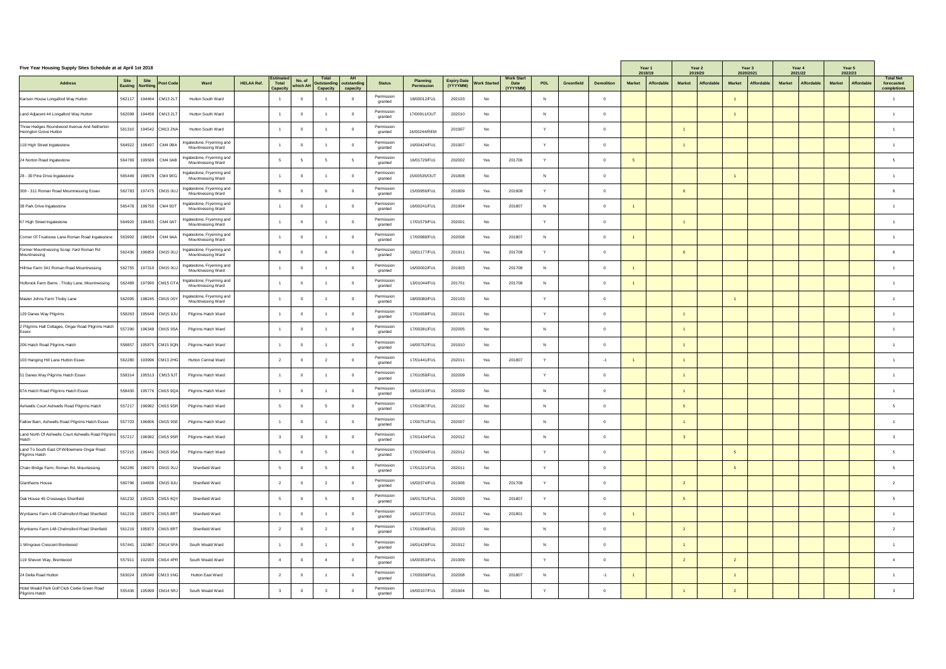| Five Year Housing Supply Sites Schedule at at April 1st 2018          |        |                                                     |                                                           |                   |                                              |                            |                                                                                            |                       |                                      |        |                          |                                              |                |                   |                   | Year 1<br>2018/19           |               | Year 2<br>2019/20 | 2020/2021     | Year 3     | Year 4<br>2021/22           |               | Year 5<br>2022/23 |                                               |
|-----------------------------------------------------------------------|--------|-----------------------------------------------------|-----------------------------------------------------------|-------------------|----------------------------------------------|----------------------------|--------------------------------------------------------------------------------------------|-----------------------|--------------------------------------|--------|--------------------------|----------------------------------------------|----------------|-------------------|-------------------|-----------------------------|---------------|-------------------|---------------|------------|-----------------------------|---------------|-------------------|-----------------------------------------------|
| <b>Address</b>                                                        |        | Site Site  <br>Easting Northing<br><b>Post Code</b> | Ward                                                      | <b>HELAA Ref.</b> | <b>Estimated</b><br>Total<br><b>Capacity</b> | $\vert$ No. of<br>which Al | <b>Total</b><br><b>AH</b><br><b>Outstanding outstanding</b><br><b>Capacity</b><br>capacity | <b>Status</b>         | <b>Planning</b><br><b>Permission</b> |        | Expiry Date Vork Started | <b>Work Start</b><br><b>Date</b><br>(YYYYMM) | <b>PDL</b>     | <b>Greenfield</b> | <b>Demolition</b> | <b>Market</b><br>Affordable | <b>Market</b> | <b>Affordable</b> | <b>Market</b> | Affordable | <b>Market</b><br>Affordable | <b>Market</b> | Affordable        | <b>Total Net</b><br>forecasted<br>completions |
| Karison House Longaford Way Hutton                                    | 562117 | 194464 CM13 2LT                                     | <b>Hutton South Ward</b>                                  |                   |                                              |                            |                                                                                            | Permission<br>granted | 18/00012/FUL                         | 202103 | No                       |                                              | N              |                   |                   |                             |               |                   |               |            |                             |               |                   |                                               |
| Land Adjacent 44 Longaford Way Hutton                                 | 562098 | 194456   CM13 2LT                                   | <b>Hutton South Ward</b>                                  |                   |                                              |                            |                                                                                            | Permission<br>granted | 17/00911/OUT                         | 202010 | No                       |                                              | $\mathsf{N}$   |                   |                   |                             |               |                   |               |            |                             |               |                   |                                               |
| Three Hedges Roundwood Avenue And Netherton<br>Herington Grove Hutton | 561310 | 194542 CM13 2NA                                     | <b>Hutton South Ward</b>                                  |                   |                                              |                            |                                                                                            | Permission<br>granted | 16/00244/REM                         | 201907 | No                       |                                              |                |                   |                   |                             |               |                   |               |            |                             |               |                   |                                               |
| 118 High Street Ingatestone                                           |        | 564922   199497   CM4 0BA                           | Ingatestone, Fryerning and<br><b>Mountnessing Ward</b>    |                   |                                              |                            |                                                                                            | Permission<br>granted | 16/00424/FUL                         | 201907 | No                       |                                              |                |                   |                   |                             |               |                   |               |            |                             |               |                   |                                               |
| 24 Norton Road Ingatestone                                            |        | 564769   199569   CM4 0AB                           | Ingatestone, Fryerning and<br><b>Mountnessing Ward</b>    |                   |                                              |                            |                                                                                            | Permission<br>granted | 16/01729/FUL                         | 202002 | Yes                      | 201706                                       | $\overline{V}$ |                   |                   |                             |               |                   |               |            |                             |               |                   |                                               |
| 28 - 30 Pine Drive Ingatestone                                        |        | 565449   199678   CM4 9EG                           | Ingatestone, Fryerning and<br><b>Mountnessing Ward</b>    |                   |                                              |                            |                                                                                            | Permission<br>granted | 15/00535/OUT                         | 201808 | No                       |                                              | N              |                   |                   |                             |               |                   |               |            |                             |               |                   |                                               |
| 309 - 311 Roman Road Mountnessing Essex                               |        | 562783   197475   CM15 0UJ                          | Ingatestone, Fryerning and<br><b>Mountnessing Ward</b>    |                   |                                              |                            |                                                                                            | Permission<br>granted | 15/00956/FUL                         | 201809 | Yes                      | 201608                                       | $\overline{V}$ |                   |                   |                             |               |                   |               |            |                             |               |                   |                                               |
| 38 Park Drive Ingatestone                                             |        | 565478   199750   CM4 9DT                           | Ingatestone, Fryerning and<br><b>Mountnessing Ward</b>    |                   |                                              |                            |                                                                                            | Permission<br>granted | 16/00241/FUL                         | 201904 | Yes                      | 201807                                       | N              |                   |                   |                             |               |                   |               |            |                             |               |                   |                                               |
| 67 High Street Ingatestone                                            |        | 564920   199455   CM4 0AT                           | Ingatestone, Fryerning and<br>Mountnessing Ward           |                   |                                              |                            |                                                                                            | Permission<br>granted | 17/01579/FUL                         | 202001 | No                       |                                              |                |                   |                   |                             |               |                   |               |            |                             |               |                   |                                               |
| Corner Of Trueloves Lane Roman Road Ingatestone                       |        | 563992   198634   CM4 9AA                           | Ingatestone, Fryerning and<br><b>Mountnessing Ward</b>    |                   |                                              |                            |                                                                                            | Permission<br>granted | 17/00988/FUL                         | 202008 | Yes                      | 201807                                       | N.             |                   |                   |                             |               |                   |               |            |                             |               |                   |                                               |
| Former Mountnessing Scrap Yard Roman Rd<br>Mountnessing               |        | 562436   196859 CM15 0UJ                            | Ingatestone, Fryerning and<br><b>Mountnessing Ward</b>    |                   |                                              |                            |                                                                                            | Permission<br>granted | 16/01177/FUL                         | 201911 | Yes                      | 201708                                       | $\lambda$      |                   |                   |                             |               |                   |               |            |                             |               |                   |                                               |
| Hillrise Farm 341 Roman Road Mountnessing                             |        | 562755   197310 CM15 0UJ                            | Ingatestone, Fryerning and<br><b>Mountnessing Ward</b>    |                   |                                              |                            |                                                                                            | Permission<br>granted | 16/00002/FUL                         | 201903 | Yes                      | 201708                                       | N              |                   |                   |                             |               |                   |               |            |                             |               |                   |                                               |
| Holbrook Farm Barns, Thoby Lane, Mountnessing                         |        | 562489   197990 CM15 OTA                            | Ingatestone, Fryerning and<br><b>Mountnessing Ward</b>    |                   |                                              |                            |                                                                                            | Permission<br>granted | 13/01044/FUL                         | 201701 | Yes                      | 201708                                       | N              |                   |                   |                             |               |                   |               |            |                             |               |                   |                                               |
| Master Johns Farm Thoby Lane                                          |        | 562095   198245 CM15 0SY                            | Ingatestone, Fryerning and<br><b>Mountnessing Ward</b>    |                   |                                              |                            |                                                                                            | Permission<br>granted | 18/00080/FUL                         | 202103 | No                       |                                              |                |                   |                   |                             |               |                   |               |            |                             |               |                   |                                               |
| 129 Danes Way Pilgrims                                                |        | 558263   195649   CM15 9JU                          | Pilgrims Hatch Ward                                       |                   |                                              |                            |                                                                                            | Permission<br>granted | 17/01658/FUL                         | 202101 | No                       |                                              | $\overline{V}$ |                   |                   |                             |               |                   |               |            |                             |               |                   |                                               |
| 2 Pilgrims Hall Cottages, Ongar Road Pilgrims Hatch<br>Essex          |        | 557290   196348  CM15 9SA                           | Pilgrims Hatch Ward                                       |                   |                                              |                            |                                                                                            | Permission<br>granted | 17/00281/FUL                         | 202005 | No                       |                                              | N              |                   |                   |                             |               |                   |               |            |                             |               |                   |                                               |
| 206 Hatch Road Pilgrims Hatch                                         |        | 558857   195875   CM15 9QN                          | Pilgrims Hatch Ward                                       |                   |                                              |                            |                                                                                            | Permission<br>granted | 16/00752/FUL                         | 201910 | No                       |                                              | N              |                   |                   |                             |               |                   |               |            |                             |               |                   |                                               |
| 103 Hanging Hill Lane Hutton Essex                                    |        |                                                     | 562280   193996 CM13 2HG   Hutton Central Ward            |                   |                                              |                            |                                                                                            | Permission<br>granted | 17/01441/FUL                         | 202011 | Yes                      | 201807<br>$    -$                            |                |                   |                   |                             |               |                   |               |            |                             |               |                   |                                               |
| 51 Danes Way Pilgrims Hatch Essex                                     |        | 558314   195513   CM15 9JT                          | Pilgrims Hatch Ward                                       |                   |                                              |                            |                                                                                            | Permission<br>granted | 17/01058/FUL                         | 202009 | No                       |                                              |                |                   |                   |                             |               |                   |               |            |                             |               |                   |                                               |
| 87A Hatch Road Pilgrims Hatch Essex                                   |        | 558430   195776  CM15 9QA                           | Pilgrims Hatch Ward                                       |                   |                                              |                            |                                                                                            | Permission<br>granted | 16/01010/FUL                         | 202009 | No                       |                                              | $\mathsf{N}$   |                   |                   |                             |               |                   |               |            |                             |               |                   |                                               |
| Ashwells Court Ashwells Road Pilgrims Hatch                           |        | 557217   196982   CM15 9SR                          | Pilgrims Hatch Ward                                       |                   |                                              |                            |                                                                                            | Permission<br>granted | 17/01987/FUL                         | 202102 | No                       |                                              | N.             |                   |                   |                             |               |                   |               |            |                             |               |                   |                                               |
| Fallow Barn, Ashwells Road Pilgrims Hatch Essex                       |        | 557703   196806 CM15 9SE                            | Pilgrims Hatch Ward                                       |                   |                                              |                            |                                                                                            | Permission<br>granted | 17/00751/FUL                         | 202007 | No                       |                                              | N              |                   |                   |                             |               |                   |               |            |                             |               |                   |                                               |
| Land North Of Ashwells Court Ashwells Road Pilgrims                   |        | 557217   196982 CM15 9SR                            | Pilgrims Hatch Ward                                       |                   |                                              |                            |                                                                                            | Permission<br>granted | 17/01434/FUL                         | 202012 | No                       |                                              | N              |                   |                   |                             |               |                   |               |            |                             |               |                   |                                               |
| Land To South East Of Willowmere Ongar Road<br>Pilgrims Hatch         |        | 557215   196441   CM15 9SA                          | Pilgrims Hatch Ward                                       |                   |                                              |                            |                                                                                            | Permission<br>granted | 17/01504/FUL                         | 202012 | No                       |                                              |                |                   |                   |                             |               |                   |               |            |                             |               |                   |                                               |
| Chain Bridge Farm, Roman Rd, Mountessing                              |        | 562285   196970   CM15 0UJ                          | Shenfield Ward                                            |                   |                                              |                            |                                                                                            | Permission<br>granted | 17/01221/FUL                         | 202011 | No                       |                                              | $\mathbf{v}$   |                   |                   |                             |               |                   |               |            |                             |               |                   |                                               |
| Glanthams House                                                       |        | 560796   194836   CM15 8JU                          | Shenfield Ward                                            |                   |                                              |                            |                                                                                            | Permission<br>granted | 16/00374/FUL                         | 201906 | Yes                      | 201708                                       |                |                   |                   |                             |               |                   |               |            |                             |               |                   |                                               |
| Oak House 46 Crossways Shenfield                                      |        | 561232   195025   CM15 8QY                          | Shenfield Ward                                            |                   |                                              |                            |                                                                                            | Permission<br>granted | 16/01791/FUL                         | 202003 | Yes                      | 201807                                       |                |                   |                   |                             |               |                   |               |            |                             |               |                   |                                               |
| Wynbarns Farm 148 Chelmsford Road Shenfield                           |        |                                                     | $\vert$ 561219   195870 $\vert$ CM15 8RT   Shenfield Ward |                   |                                              |                            |                                                                                            | Permission<br>granted | 16/01377/FUL                         | 201912 | Yes                      | 201801                                       | N.             |                   |                   |                             |               |                   |               |            |                             |               |                   |                                               |
| Wynbarns Farm 148 Chelmsford Road Shenfield                           |        | 561219   195870 CM15 8RT                            | Shenfield Ward                                            |                   |                                              |                            |                                                                                            | Permission<br>granted | 17/01964/FUL                         | 202103 | No                       |                                              | N              |                   |                   |                             |               |                   |               |            |                             |               |                   |                                               |
| 1 Wingrave Crescent Brentwood                                         |        | 557441   192867  CM14 5PA                           | South Weald Ward                                          |                   |                                              |                            |                                                                                            | Permission<br>granted | 16/01428/FUL                         | 201912 | No                       |                                              | N.             |                   |                   |                             |               |                   |               |            |                             |               |                   |                                               |
| 119 Shevon Way, Brentwood                                             |        | 557911   192939 CM14 4PR                            | South Weald Ward                                          |                   |                                              |                            |                                                                                            | Permission<br>granted | 16/00353/FUL                         | 201909 | No                       |                                              | $\lambda$      |                   |                   |                             |               |                   |               |            |                             |               |                   |                                               |
| 24 Delta Road Hutton                                                  |        | 563024   195040 CM13 1NG                            | <b>Hutton East Ward</b>                                   |                   |                                              |                            |                                                                                            | Permission<br>granted | 17/00939/FUL                         | 202008 | Yes                      | 201807                                       | N              |                   |                   |                             |               |                   |               |            |                             |               |                   |                                               |
| Hotel Weald Park Golf Club Coxtie Green Road<br>Pilgrims Hatch        |        | 555436   195999   CM14 5RJ                          | South Weald Ward                                          |                   |                                              |                            |                                                                                            | Permission<br>granted | 16/00107/FUL                         | 201904 | No                       |                                              | $\mathbf{v}$   |                   |                   |                             |               |                   |               |            |                             |               |                   |                                               |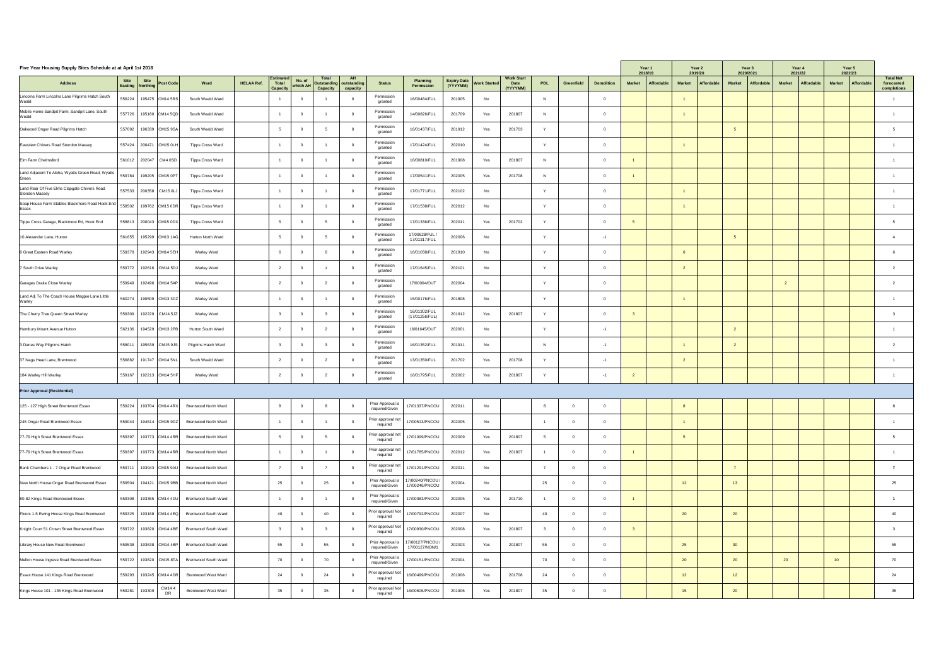| Five Year Housing Supply Sites Schedule at at April 1st 2018          |                                                               |                             |                   |                                       |                    |                                 |                                                    |                                     |                                      |                          |     |                                              |              |                          |                    | Year 1<br>2018/19 |                   | Year 2<br>2019/20                  | Year 3<br>2020/2021         |               | Year 4<br>2021/22 | Year 5<br>2022/23           |                                               |
|-----------------------------------------------------------------------|---------------------------------------------------------------|-----------------------------|-------------------|---------------------------------------|--------------------|---------------------------------|----------------------------------------------------|-------------------------------------|--------------------------------------|--------------------------|-----|----------------------------------------------|--------------|--------------------------|--------------------|-------------------|-------------------|------------------------------------|-----------------------------|---------------|-------------------|-----------------------------|-----------------------------------------------|
| <b>Address</b>                                                        | Site Site<br>Easting Northing<br><b>Post Code</b>             | Ward                        | <b>HELAA Ref.</b> | Estimated<br>Total<br><b>Capacity</b> | No. of<br>which AH | <b>Total</b><br><b>Capacity</b> | <b>AH</b><br>Outstanding   outstanding<br>capacity | <b>Status</b>                       | <b>Planning</b><br><b>Permission</b> | Expiry Date Work Started |     | <b>Work Start</b><br><b>Date</b><br>(YYYYMM) | <b>PDL</b>   | <b>Greenfield</b>        | <b>Demolition</b>  | <b>Market</b>     | <b>Affordable</b> | <b>Affordable</b><br><b>Market</b> | Affordable<br><b>Market</b> | <b>Market</b> | Affordable        | Affordable<br><b>Market</b> | <b>Total Net</b><br>forecasted<br>completions |
| Lincolns Farm Lincolns Lane Pilgrims Hatch South<br>Weald             | 556224   195475   CM14 5RS                                    | South Weald Ward            |                   |                                       |                    |                                 |                                                    | Permission<br>granted               | 16/00484/FUL                         | 201905                   | No  |                                              |              |                          |                    |                   |                   |                                    |                             |               |                   |                             |                                               |
| Mobile Home Sandpit Farm, Sandpit Lane, South<br>$\mathcal N$ eald    | 557726   195180 CM14 5QD                                      | South Weald Ward            |                   |                                       |                    |                                 |                                                    | Permission<br>granted               | 14/00826/FUL                         | 201709                   | Yes | 201807                                       |              |                          |                    |                   |                   |                                    |                             |               |                   |                             |                                               |
| Oakwood Ongar Road Pilgrims Hatch                                     | 557092   196339 CM15 9SA                                      | South Weald Ward            |                   |                                       |                    |                                 | $\cap$                                             | Permission<br>granted               | 16/01437/FUL                         | 201912                   | Yes | 201703                                       | $\mathbf{v}$ |                          |                    |                   |                   |                                    |                             |               |                   |                             |                                               |
| Eastview Chivers Road Stondon Massey                                  | 557424 200471 CM15 0LH                                        | <b>Tipps Cross Ward</b>     |                   |                                       |                    |                                 |                                                    | Permission<br>granted               | 17/01424/FUL                         | 202010                   | No  |                                              |              |                          |                    |                   |                   |                                    |                             |               |                   |                             |                                               |
| <b>Elm Farm Chelmsford</b>                                            | 561012 202047   CM4 0SD                                       | <b>Tipps Cross Ward</b>     |                   |                                       |                    |                                 |                                                    | Permission<br>granted               | 16/00810/FUL                         | 201908                   | Yes | 201807                                       |              |                          |                    |                   |                   |                                    |                             |               |                   |                             |                                               |
| Land Adjacent To Aloha, Wyatts Green Road, Wyatts<br>Green            | 559784 399205 CM15 0PT                                        | <b>Tipps Cross Ward</b>     |                   |                                       |                    |                                 |                                                    | Permission<br>granted               | 17/00541/FUL                         | 202005                   | Yes | 201708                                       |              |                          |                    |                   |                   |                                    |                             |               |                   |                             |                                               |
| Land Rear Of Five Elms Clapgate Chivers Road<br><b>Stondon Massey</b> | 557533   200358   CM15 0LJ                                    | <b>Tipps Cross Ward</b>     |                   |                                       |                    |                                 |                                                    | Permission<br>granted               | 17/01771/FUL                         | 202102                   | No  |                                              |              |                          |                    |                   |                   |                                    |                             |               |                   |                             |                                               |
| Soap House Farm Stables Blackmore Road Hook End<br>Essex              | 199762 CM15 0DR<br>558502                                     | <b>Tipps Cross Ward</b>     |                   |                                       |                    |                                 |                                                    | Permission<br>granted               | 17/01538/FUL                         | 202012                   | No  |                                              | $\mathbf{v}$ |                          |                    |                   |                   |                                    |                             |               |                   |                             |                                               |
| Tipps Cross Garage, Blackmore Rd, Hook End                            | 558813   200043   CM15 0DX                                    | <b>Tipps Cross Ward</b>     |                   |                                       |                    |                                 |                                                    | Permission<br>granted               | 17/01336/FUL                         | 202011                   | Yes | 201702                                       |              |                          |                    |                   |                   |                                    |                             |               |                   |                             |                                               |
| 10 Alexander Lane, Hutton                                             | 561655   195299 CM13 1AG                                      | <b>Hutton North Ward</b>    |                   |                                       |                    |                                 | - റ                                                | Permission<br>granted               | 17/00628/FUL /<br>17/01317/FUL       | 202006                   | No  |                                              |              |                          | -1                 |                   |                   |                                    |                             |               |                   |                             |                                               |
| 6 Great Eastern Road Warley                                           | 559378   192943  CM14 5EH                                     | <b>Warley Ward</b>          |                   |                                       |                    |                                 |                                                    | Permission<br>granted               | 16/01038/FUL                         | 201910                   | No  |                                              |              |                          |                    |                   |                   |                                    |                             |               |                   |                             |                                               |
| 7 South Drive Warley                                                  | 559772   192616   CM14 5DJ                                    | <b>Warley Ward</b>          |                   |                                       |                    |                                 |                                                    | Permission<br>granted               | 17/01645/FUL                         | 202101                   | No  |                                              |              |                          |                    |                   |                   |                                    |                             |               |                   |                             |                                               |
| Garages Drake Close Warley                                            | 559949   192496 CM14 5AP                                      | Warley Ward                 |                   |                                       |                    |                                 |                                                    | Permission<br>granted               | 17/00004/OUT                         | 202004                   | No  |                                              |              |                          |                    |                   |                   |                                    |                             |               |                   |                             |                                               |
| Land Adj To The Coach House Magpie Lane Little<br>Warley              | 560274   190509 CM13 3DZ                                      | <b>Warley Ward</b>          |                   |                                       |                    |                                 |                                                    | Permission<br>granted               | 15/00176/FUL                         | 201808                   | No  |                                              |              |                          |                    |                   |                   |                                    |                             |               |                   |                             |                                               |
| The Cherry Tree Queen Street Warley                                   | 559309   192229   CM14 5JZ                                    | <b>Warley Ward</b>          |                   |                                       |                    |                                 |                                                    | Permission<br>granted               | 16/01302/FUL<br>(17/01256/FUL)       | 201912                   | Yes | 201807                                       |              |                          |                    |                   |                   |                                    |                             |               |                   |                             |                                               |
| Hembury Mount Avenue Hutton                                           | 562136   194529 CM13 2PB                                      | <b>Hutton South Ward</b>    |                   |                                       |                    |                                 | $\bigcap$                                          | Permission<br>granted               | 16/01645/OUT                         | 202001                   | No  |                                              |              |                          | -1                 |                   |                   |                                    |                             |               |                   |                             |                                               |
| 3 Danes Way Pilgrims Hatch                                            | 558011   195639   CM15 9JS                                    | Pilgrims Hatch Ward         |                   |                                       |                    |                                 |                                                    | Permission<br>granted               | 16/01352/FUL                         | 201911                   | No  |                                              |              |                          |                    |                   |                   |                                    |                             |               |                   |                             |                                               |
| 37 Nags Head Lane, Brentwood                                          | 556882   191747   CM14 5NL                                    | South Weald Ward            |                   |                                       |                    |                                 |                                                    | Permission<br>granted               | 13/01350/FUL                         | 201702                   | Yes | 201708                                       |              |                          |                    |                   |                   |                                    |                             |               |                   |                             |                                               |
| 184 Warley Hill Warley                                                | 559167   192213 CM14 5HF                                      | <b>Warley Ward</b>          |                   |                                       |                    |                                 |                                                    | Permission<br>granted               | 16/01795/FUL                         | 202002                   | Yes | 201807                                       |              |                          |                    |                   |                   |                                    |                             |               |                   |                             |                                               |
| <b>Prior Approval (Residential)</b>                                   |                                                               |                             |                   |                                       |                    |                                 |                                                    |                                     |                                      |                          |     |                                              |              |                          |                    |                   |                   |                                    |                             |               |                   |                             |                                               |
| 125 - 127 High Street Brentwood Essex                                 | 559224 193704 CM14 4RX                                        | <b>Brentwood North Ward</b> |                   |                                       |                    |                                 |                                                    | Prior Approval is<br>required/Given | 17/01337/PNCOU                       | 202011                   | No  |                                              |              | - 0                      |                    |                   |                   |                                    |                             |               |                   |                             |                                               |
| 245 Ongar Road Brentwood Essex                                        | 559044   194614   CM15 9DZ                                    | <b>Brentwood North Ward</b> |                   |                                       |                    |                                 | $\cap$                                             | Prior approval not<br>required      | 17/00513/PNCOU                       | 202005                   | No  |                                              |              | - 0                      |                    |                   |                   |                                    |                             |               |                   |                             |                                               |
| 77-79 High Street Brentwood Essex                                     | 559397   193773 CM14 4RR                                      | <b>Brentwood North Ward</b> |                   |                                       |                    |                                 |                                                    | Prior approval not<br>required      | 17/01099/PNCOU                       | 202009                   | Yes | 201807                                       |              | $\overline{\phantom{0}}$ |                    |                   |                   |                                    |                             |               |                   |                             |                                               |
| 77-79 High Street Brentwood Essex                                     | 559397   193773 CM14 4RR                                      | <b>Brentwood North Ward</b> |                   |                                       |                    |                                 |                                                    | Prior approval not<br>required      | 17/01785/PNCOU                       | 202012                   | Yes | 201807                                       |              | - 0                      |                    |                   |                   |                                    |                             |               |                   |                             |                                               |
| Bank Chambers 1 - 7 Ongar Road Brentwood                              | 559711   193943   CM15 9AU                                    | <b>Brentwood North Ward</b> |                   |                                       |                    |                                 | - റ                                                | Prior approval not<br>required      | 17/01291/PNCOU                       | 202011                   | No  |                                              |              | - 0                      |                    |                   |                   |                                    |                             |               |                   |                             |                                               |
| New North House Ongar Road Brentwood Essex                            | 559504   194121 CM15 9BB                                      | <b>Brentwood North Ward</b> |                   | 25                                    |                    | 25                              |                                                    | Prior Approval is<br>required/Given | 17/00240/PNCOU<br>17/00246/PNCOU     | 202004                   | No  |                                              | 25           |                          |                    |                   |                   | 12                                 | 13                          |               |                   |                             | 25                                            |
| 80-82 Kings Road Brentwood Essex                                      | 559308   193365 CM14 4DU                                      | <b>Brentwood South Ward</b> |                   |                                       |                    |                                 |                                                    | Prior Approval is<br>required/Given | 17/00383/PNCOU                       | 202005                   | Yes | 201710                                       |              |                          |                    |                   |                   |                                    |                             |               |                   |                             |                                               |
| Floors 1-5 Ewing House Kings Road Brentwood                           | <sup>1</sup> 559325   193168  CM14 4EQ   Brentwood South Ward |                             |                   | 40                                    |                    | $\Lambda$ $\Lambda$             |                                                    | required                            | Prior approval Not   17/00792/PNCOU  | 202007                   | No  |                                              | 40           |                          | $\Omega$<br>$\cup$ |                   |                   | 20<br>$\sim$                       | 20 <sup>1</sup><br>∠∪       |               |                   |                             | 40                                            |
| Knight Court 51 Crown Street Brentwood Essex                          | 559722   193820 CM14 4BE                                      | <b>Brentwood South Ward</b> |                   |                                       |                    |                                 | $\cap$                                             | Prior approval Not<br>required      | 17/00930/PNCOU                       | 202008                   | Yes | 201807                                       |              | $\overline{0}$           |                    |                   |                   |                                    |                             |               |                   |                             |                                               |
| Library House New Road Brentwood                                      | 559538   193638 CM14 4BP                                      | <b>Brentwood South Ward</b> |                   | 55                                    |                    | 55                              |                                                    | Prior Approval is<br>required/Given | 17/00127/PNCOU /<br>17/00127/NON/1   | 202003                   | Yes | 201807                                       | 55           | - 0                      |                    |                   |                   | 25                                 | 30                          |               |                   |                             | 55                                            |
| Mellon House Ingrave Road Brentwood Essex                             | 559722   193820   CM15 8TA                                    | <b>Brentwood South Ward</b> |                   | 70                                    |                    | 70                              |                                                    | Prior Approval is<br>required/Given | 17/00151/PNCOU                       | 202004                   | No  |                                              | 70           | $\overline{\mathbf{0}}$  | $\Omega$           |                   |                   | 20                                 | 20                          | 20            |                   | 10                          | 70                                            |
| Essex House 141 Kings Road Brentwood                                  | 559293   193245 CM14 4DR                                      | <b>Brentwood West Ward</b>  |                   | 24                                    |                    | 24                              | - റ                                                | Prior approval Not<br>required      | 16/00499/PNCOU                       | 201906                   | Yes | 201708                                       | 24           | - 0                      |                    |                   |                   | 12                                 | 12                          |               |                   |                             | 24                                            |
| Kings House 101 - 135 Kings Road Brentwood                            | CM144<br>559281 193309<br>DR                                  | <b>Brentwood West Ward</b>  |                   | 35                                    |                    | 35                              |                                                    | Prior approval Not<br>required      | 16/00606/PNCOU                       | 201906                   | Yes | 201807                                       | 35           | $\overline{\mathbf{0}}$  |                    |                   |                   | 15                                 | 20                          |               |                   |                             | 35                                            |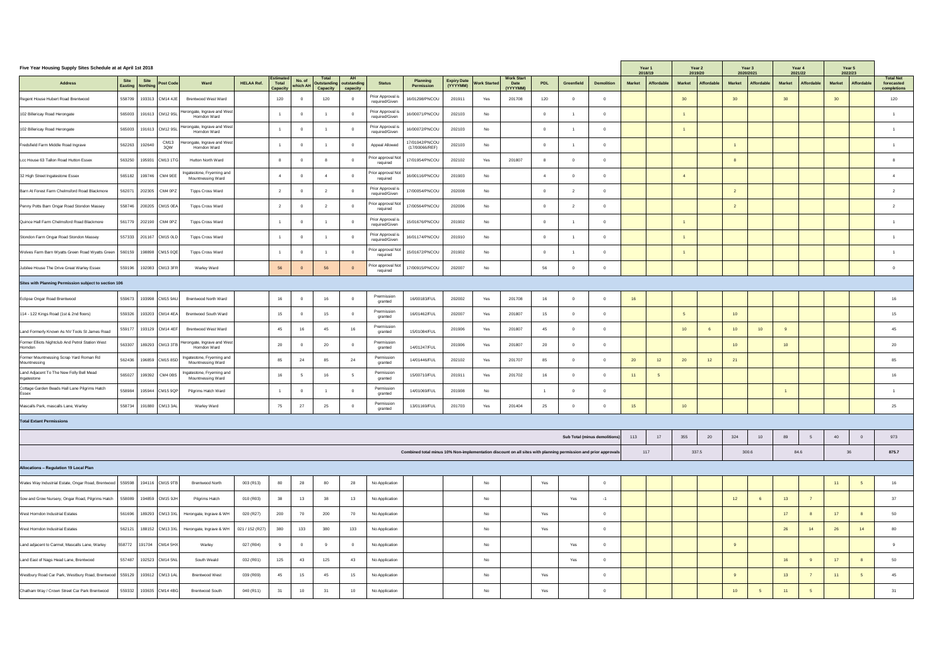| Five Year Housing Supply Sites Schedule at at April 1st 2018                    |        |                                            |                                                                                                 |                   |                                              |                      |                                 |                                                         |                                     |                                                                                                                |                          |     |                                              | Year 1<br>2018/19 |                   | Year 2<br>2019/20             | 2020/2021     | Year 3            | Year 4<br>2021/22                  |                 | Year 5<br>2022/23 |               |                |                                    |                                               |
|---------------------------------------------------------------------------------|--------|--------------------------------------------|-------------------------------------------------------------------------------------------------|-------------------|----------------------------------------------|----------------------|---------------------------------|---------------------------------------------------------|-------------------------------------|----------------------------------------------------------------------------------------------------------------|--------------------------|-----|----------------------------------------------|-------------------|-------------------|-------------------------------|---------------|-------------------|------------------------------------|-----------------|-------------------|---------------|----------------|------------------------------------|-----------------------------------------------|
| <b>Address</b>                                                                  |        | Site Site<br>Easting Northing<br>Post Code | Ward                                                                                            | <b>HELAA Ref.</b> | <b>Estimated</b><br>Total<br><b>Capacity</b> | No. of<br>  which Al | <b>Total</b><br><b>Capacity</b> | <b>AH</b><br><b>Outstanding outstanding</b><br>capacity | <b>Status</b>                       | <b>Planning</b><br><b>Permission</b>                                                                           | Expiry Date Vork Started |     | <b>Work Start</b><br><b>Date</b><br>(YYYYMM) | <b>PDL</b>        | <b>Greenfield</b> | <b>Demolition</b>             | <b>Market</b> | <b>Affordable</b> | <b>Affordable</b><br><b>Market</b> | <b>Market</b>   | Affordable        | <b>Market</b> | Affordable     | <b>Affordable</b><br><b>Market</b> | <b>Total Net</b><br>forecasted<br>completions |
| Regent House Hubert Road Brentwood                                              |        | 558709   193313   CM14 4JE                 | <b>Brentwood West Ward</b>                                                                      |                   | 120                                          |                      | 120                             |                                                         | Prior Approval is<br>required/Given | 16/01298/PNCOU                                                                                                 | 201911                   | Yes | 201708                                       | 120               |                   |                               |               |                   | 30                                 | 30              |                   | 30            |                | 30                                 | 120                                           |
| 102 Billericay Road Herongate                                                   | 565003 | $191613$ CM12 9SL                          | Herongate, Ingrave and West<br>Horndon Ward                                                     |                   |                                              |                      |                                 |                                                         | Prior Approval is<br>required/Given | 16/00071/PNCOU                                                                                                 | 202103                   | No  |                                              |                   |                   |                               |               |                   |                                    |                 |                   |               |                |                                    |                                               |
| 102 Billericay Road Herongate                                                   | 565003 | 191613   CM12 9SL                          | Herongate, Ingrave and West  <br>Horndon Ward                                                   |                   |                                              |                      |                                 |                                                         | Prior Approval is<br>required/Given | 16/00072/PNCOU                                                                                                 | 202103                   | No  |                                              |                   |                   |                               |               |                   |                                    |                 |                   |               |                |                                    |                                               |
| Fredsfield Farm Middle Road Ingrave                                             |        | <b>CM13</b><br>562263 192640<br>3QW        | 'Herongate, Ingrave and West<br>Horndon Ward                                                    |                   |                                              |                      |                                 |                                                         | Appeal Allowed                      | 17/01042/PNCOU<br>(17/00066/REF)                                                                               | 202103                   | No  |                                              |                   |                   |                               |               |                   |                                    |                 |                   |               |                |                                    |                                               |
| Lcc House 63 Tallon Road Hutton Essex                                           |        | 563250   195931 CM13 1TG                   | <b>Hutton North Ward</b>                                                                        |                   |                                              |                      |                                 | $\bigcap$                                               | Prior approval Not  <br>required    | 17/01954/PNCOU                                                                                                 | 202102                   | Yes | 201807                                       |                   | $\overline{0}$    |                               |               |                   |                                    |                 |                   |               |                |                                    |                                               |
| 32 High Street Ingatestone Essex                                                |        | 565182   199746   CM4 9EE                  | Ingatestone, Fryerning and<br><b>Mountnessing Ward</b>                                          |                   |                                              |                      |                                 |                                                         | Prior approval Not<br>required      | 16/00116/PNCOU                                                                                                 | 201903                   | No  |                                              |                   | $\overline{0}$    |                               |               |                   |                                    |                 |                   |               |                |                                    |                                               |
| Barn At Forest Farm Chelmsford Road Blackmore                                   |        | 562071 202305   CM4 0PZ                    | <b>Tipps Cross Ward</b>                                                                         |                   |                                              |                      |                                 |                                                         | Prior Approval is<br>required/Given | 17/00054/PNCOU                                                                                                 | 202008                   | No  |                                              |                   |                   |                               |               |                   |                                    |                 |                   |               |                |                                    |                                               |
| Penny Potts Barn Ongar Road Stondon Massey                                      |        | 558746 200205 CM15 0EA                     | <b>Tipps Cross Ward</b>                                                                         |                   |                                              |                      |                                 |                                                         | Prior approval Not<br>required      | 17/00564/PNCOU                                                                                                 | 202006                   | No  |                                              |                   |                   |                               |               |                   |                                    |                 |                   |               |                |                                    |                                               |
| Quince Hall Farm Chelmsford Road Blackmore                                      |        | 561779 202190 CM4 0PZ                      | <b>Tipps Cross Ward</b>                                                                         |                   |                                              |                      |                                 |                                                         | Prior Approval is<br>required/Given | 15/01676/PNCOU                                                                                                 | 201902                   | No  |                                              |                   |                   |                               |               |                   |                                    |                 |                   |               |                |                                    |                                               |
| Stondon Farm Ongar Road Stondon Massey                                          |        | 557333 201167 CM15 0LD                     | <b>Tipps Cross Ward</b>                                                                         |                   |                                              |                      |                                 |                                                         | Prior Approval is<br>required/Given | 16/01174/PNCOU                                                                                                 | 201910                   | No  |                                              |                   |                   |                               |               |                   |                                    |                 |                   |               |                |                                    |                                               |
| Wolves Farm Barn Wyatts Green Road Wyatts Green                                 |        | 560159   198898 CM15 0QE                   | <b>Tipps Cross Ward</b>                                                                         |                   |                                              |                      |                                 |                                                         | Prior approval Not<br>required      | 15/01672/PNCOU                                                                                                 | 201902                   | No  |                                              |                   |                   |                               |               |                   |                                    |                 |                   |               |                |                                    |                                               |
| Jubilee House The Drive Great Warley Essex                                      |        | 559196   192083 CM13 3FR                   | <b>Warley Ward</b>                                                                              |                   | 56                                           |                      | 56                              |                                                         | Prior approval Not<br>required      | 17/00915/PNCOU                                                                                                 | 202007                   | No  |                                              | 56                | - 0               |                               |               |                   |                                    |                 |                   |               |                |                                    |                                               |
| Sites with Planning Permission subject to section 106                           |        |                                            |                                                                                                 |                   |                                              |                      |                                 |                                                         |                                     |                                                                                                                |                          |     |                                              |                   |                   |                               |               |                   |                                    |                 |                   |               |                |                                    |                                               |
| Eclipse Ongar Road Brentwood                                                    |        | 559673   193998 CM15 9AU                   | <b>Brentwood North Ward</b>                                                                     |                   | 16                                           |                      |                                 |                                                         | Prermission<br>granted              | 16/00183/FUL                                                                                                   | 202002                   | Yes | 201708                                       | 16                | - 0               |                               | 16            |                   |                                    |                 |                   |               |                |                                    | 16                                            |
| 114 - 122 Kings Road (1st & 2nd floors)                                         |        | 559326 393203 CM14 4EA                     | <b>Brentwood South Ward</b>                                                                     |                   | 15                                           |                      |                                 |                                                         | Prermission<br>granted              | 16/01462/FUL                                                                                                   | 202007                   | Yes | 201807                                       | 15                | - 0               |                               |               |                   |                                    | 10              |                   |               |                |                                    | 15                                            |
| Land Formerly Known As NV Tools St James Road                                   |        | 559177   193129   CM14 4EF                 | <b>Brentwood West Ward</b>                                                                      |                   | 45                                           | 16                   | 45                              | 16                                                      | Prermission<br>granted              | 15/01084/FUL                                                                                                   | 201906                   | Yes | 201807                                       | 45                | - 0               |                               |               |                   | 10                                 | 10              | 10                |               |                |                                    | 45                                            |
| Former Elliots Nightclub And Petrol Station West<br>Horndon                     |        |                                            | $\vert$ 563307   189293 $\vert$ CM13 3TB   Herongate, Ingrave and West  <br>Horndon Ward        |                   | 20                                           |                      | 20                              |                                                         | Prermission<br>granted              | 14/01247/FUL                                                                                                   | 201906                   | Yes | 201807                                       | 20                | - 0               |                               |               |                   |                                    | 10              |                   | 10            |                |                                    | 20                                            |
| Former Mountnessing Scrap Yard Roman Rd<br>Mountnessing                         |        |                                            | $\mid$ 562436   196859 $\mid$ CM15 8SD   Ingatestone, Fryerning and $\mid$<br>Mountnessing Ward |                   | 85                                           | 24                   | 85                              | 24                                                      | Permission<br>granted               | 14/01446/FUL                                                                                                   | 202102                   | Yes | 201707                                       | 85                |                   |                               | 20            | 12                | 20<br>12                           | 21              |                   |               |                |                                    | 85                                            |
| Land Adjacent To The New Folly Bell Mead<br>Ingatestone                         |        | 565027   199392   CM4 0BS                  | Ingatestone, Fryerning and<br><b>Mountnessing Ward</b>                                          |                   | 16                                           |                      |                                 |                                                         | Permission<br>granted               | 15/00710/FUL                                                                                                   | 201911                   | Yes | 201702                                       | 16                | - 0               |                               | 11            |                   |                                    |                 |                   |               |                |                                    | 16                                            |
| Cottage Garden Beads Hall Lane Pilgrims Hatch<br><b>Essex</b>                   |        | 558984   195944 CM15 9QP                   | Pilgrims Hatch Ward                                                                             |                   |                                              |                      |                                 |                                                         | Permission<br>granted               | 14/01069/FUL                                                                                                   | 201908                   | No  |                                              |                   |                   |                               |               |                   |                                    |                 |                   |               |                |                                    |                                               |
| Mascalls Park, mascalls Lane, Warley                                            |        | 558734   191880   CM13 3AL                 | <b>Warley Ward</b>                                                                              |                   | 75                                           | 27                   | 25                              |                                                         | Permission<br>granted               | 13/01169/FUL                                                                                                   | 201703                   | Yes | 201404                                       | 25                | $\overline{0}$    |                               | 15            |                   | 10                                 |                 |                   |               |                |                                    | 25                                            |
| <b>Total Extant Permissions</b>                                                 |        |                                            |                                                                                                 |                   |                                              |                      |                                 |                                                         |                                     |                                                                                                                |                          |     |                                              |                   |                   |                               |               |                   |                                    |                 |                   |               |                |                                    |                                               |
|                                                                                 |        |                                            |                                                                                                 |                   |                                              |                      |                                 |                                                         |                                     |                                                                                                                |                          |     |                                              |                   |                   | Sub Total (minus demolitions) | 113           | 17                | 355<br>20                          | 324             | 10                | 89            |                | 40                                 | 973                                           |
|                                                                                 |        |                                            |                                                                                                 |                   |                                              |                      |                                 |                                                         |                                     | Combined total minus 10% Non-implementation discount on all sites with planning permission and prior approvals |                          |     |                                              |                   |                   |                               | 117           |                   | 337.5                              |                 | 300.6             | 84.6          |                | 36                                 | 875.7                                         |
| <b>Allocations - Regulation 19 Local Plan</b>                                   |        |                                            |                                                                                                 |                   |                                              |                      |                                 |                                                         |                                     |                                                                                                                |                          |     |                                              |                   |                   |                               |               |                   |                                    |                 |                   |               |                |                                    |                                               |
| Wates Way Industrial Estate, Ongar Road, Brentwood   559598   194116   CM15 9TB |        |                                            | <b>Brentwood North</b>                                                                          | 003 (R13)         | 80                                           | 28                   | 80                              | 28                                                      | No Application                      |                                                                                                                |                          | No  |                                              | Yes               |                   |                               |               |                   |                                    |                 |                   |               |                |                                    | 16                                            |
| Sow and Grow Nursery, Ongar Road, Pilgrims Hatch                                |        | '558089   194859  CM15 9JH                 | <b>Pilgrims Hatch</b>                                                                           | 010 (R03)         | 38                                           | 13                   | 38                              | 13 <sup>7</sup>                                         | No Application                      |                                                                                                                |                          | No  |                                              |                   | Yes               |                               |               |                   |                                    | 12              |                   | 13            |                |                                    | 37                                            |
| <b>West Horndon Industrial Estates</b>                                          |        |                                            | 561696   189293   CM13 3XL   Herongate, Ingrave & WH   020 (R27)                                |                   | 200                                          | 70                   | 200                             | 70                                                      | No Application                      |                                                                                                                |                          | No  |                                              | Yes               |                   | $\overline{0}$                |               |                   |                                    |                 |                   | 17            | 8 <sup>8</sup> | 17                                 | 50                                            |
| <b>West Horndon Industrial Estates</b>                                          |        |                                            | 562121   188152   CM13 3XL   Herongate, Ingrave & WH   021 / 152 (R27)                          |                   | 380                                          | 133                  | 380                             | 133                                                     | No Application                      |                                                                                                                |                          | No  |                                              | Yes               |                   |                               |               |                   |                                    |                 |                   | 26            | 14             | 26                                 | 80                                            |
| Land adjacent to Carmel, Mascalls Lane, Warley                                  |        | 558772   191704   CM14 5HX                 | Warley                                                                                          | 027 (R04)         |                                              |                      |                                 |                                                         | No Application                      |                                                                                                                |                          | No  |                                              |                   | Yes               |                               |               |                   |                                    |                 |                   |               |                |                                    |                                               |
| Land East of Nags Head Lane, Brentwood                                          |        | 557487   192523 CM14 5NL                   | South Weald                                                                                     | 032 (R01)         | 125                                          | 43                   | 125                             | 43                                                      | No Application                      |                                                                                                                |                          | No  |                                              |                   | Yes               |                               |               |                   |                                    |                 |                   | 16            |                |                                    | 50                                            |
| Westbury Road Car Park, Westbury Road, Brentwood   559129   193612   CM13 1AL   |        |                                            | <b>Brentwood West</b>                                                                           | 039 (R09)         | 45                                           | 15                   | 45                              | 15                                                      | No Application                      |                                                                                                                |                          | No  |                                              | Yes               |                   |                               |               |                   |                                    |                 |                   | 13            |                | 11                                 | 45                                            |
| Chatham Way / Crown Street Car Park Brentwood                                   |        | 559332   193635 CM14 4BG                   | <b>Brentwood South</b>                                                                          | 040 (R11)         | 31                                           | 10                   | 31                              | 10 <sup>1</sup>                                         | No Application                      |                                                                                                                |                          | No  |                                              | Yes               |                   |                               |               |                   |                                    | 10 <sup>°</sup> |                   | 11            |                |                                    | 31                                            |